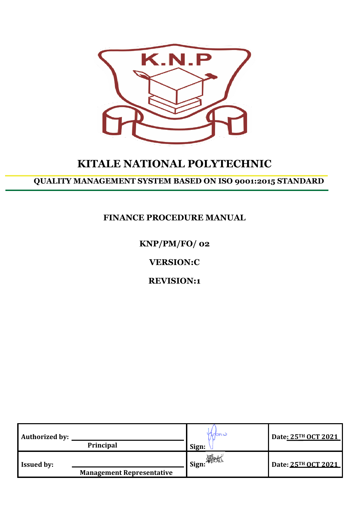

# **KITALE NATIONAL POLYTECHNIC**

**QUALITY MANAGEMENT SYSTEM BASED ON ISO 9001:2015 STANDARD**

# **FINANCE PROCEDURE MANUAL**

**KNP/PM/FO/ 02**

**VERSION:C**

**REVISION:1**

| <b>Authorized by:</b> | Principal                        | indur<br>Sign: | Date: 25TH OCT 2021 |
|-----------------------|----------------------------------|----------------|---------------------|
| <b>Issued by:</b>     | <b>Management Representative</b> | I Sign: Public | Date: 25TH OCT 2021 |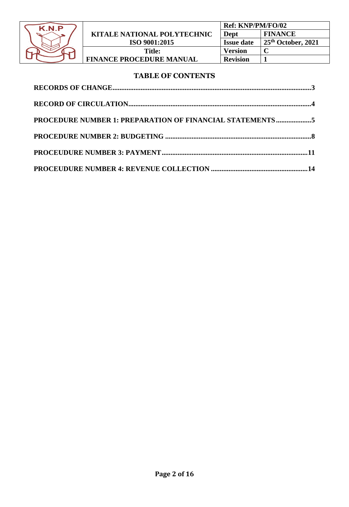

### **TABLE OF CONTENTS**

| PROCEDURE NUMBER 1: PREPARATION OF FINANCIAL STATEMENTS5 |  |
|----------------------------------------------------------|--|
|                                                          |  |
|                                                          |  |
|                                                          |  |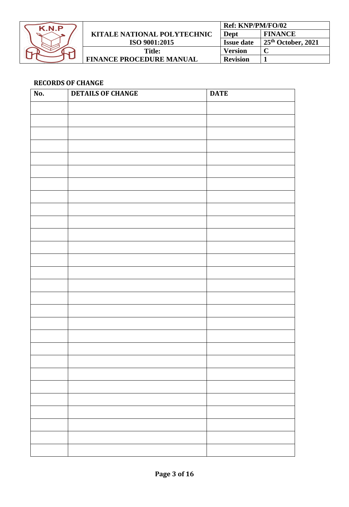

|                                    | Ref: KNP/PM/FO/02 |                      |
|------------------------------------|-------------------|----------------------|
| <b>KITALE NATIONAL POLYTECHNIC</b> | Dept              | <b>FINANCE</b>       |
| ISO 9001:2015                      | <b>Issue date</b> | $25th$ October, 2021 |
| Title:                             | <b>Version</b>    |                      |
| <b>FINANCE PROCEDURE MANUAL</b>    | <b>Revision</b>   |                      |

# <span id="page-2-0"></span>**RECORDS OF CHANGE**

| No. | <b>DETAILS OF CHANGE</b> | <b>DATE</b> |
|-----|--------------------------|-------------|
|     |                          |             |
|     |                          |             |
|     |                          |             |
|     |                          |             |
|     |                          |             |
|     |                          |             |
|     |                          |             |
|     |                          |             |
|     |                          |             |
|     |                          |             |
|     |                          |             |
|     |                          |             |
|     |                          |             |
|     |                          |             |
|     |                          |             |
|     |                          |             |
|     |                          |             |
|     |                          |             |
|     |                          |             |
|     |                          |             |
|     |                          |             |
|     |                          |             |
|     |                          |             |
|     |                          |             |
|     |                          |             |
|     |                          |             |
|     |                          |             |
|     |                          |             |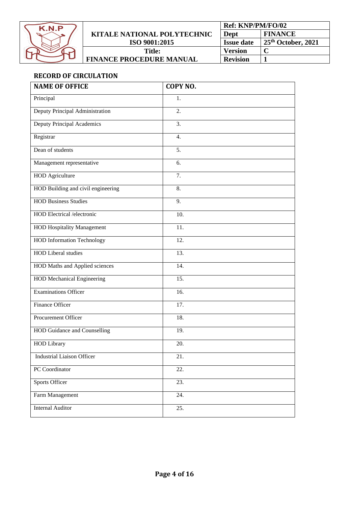

|                                    | <b>Ref: KNP/PM/FO/02</b> |                      |
|------------------------------------|--------------------------|----------------------|
| <b>KITALE NATIONAL POLYTECHNIC</b> | Dept                     | <b>FINANCE</b>       |
| ISO 9001:2015                      | <b>Issue date</b>        | $25th$ October, 2021 |
| <b>Title:</b>                      | <b>Version</b>           |                      |
| <b>FINANCE PROCEDURE MANUAL</b>    | <b>Revision</b>          |                      |

# <span id="page-3-0"></span>**RECORD OF CIRCULATION**

| <b>NAME OF OFFICE</b>              | <b>COPY NO.</b>  |
|------------------------------------|------------------|
| Principal                          | 1.               |
| Deputy Principal Administration    | $\overline{2}$ . |
| Deputy Principal Academics         | $\overline{3}$ . |
| Registrar                          | 4.               |
| Dean of students                   | $\overline{5}$ . |
| Management representative          | 6.               |
| <b>HOD</b> Agriculture             | 7.               |
| HOD Building and civil engineering | 8.               |
| <b>HOD Business Studies</b>        | 9.               |
| <b>HOD</b> Electrical /electronic  | 10.              |
| <b>HOD Hospitality Management</b>  | 11.              |
| <b>HOD</b> Information Technology  | 12.              |
| <b>HOD Liberal studies</b>         | 13.              |
| HOD Maths and Applied sciences     | 14.              |
| <b>HOD Mechanical Engineering</b>  | 15.              |
| <b>Examinations Officer</b>        | 16.              |
| Finance Officer                    | 17.              |
| Procurement Officer                | 18.              |
| HOD Guidance and Counselling       | 19.              |
| <b>HOD Library</b>                 | 20.              |
| <b>Industrial Liaison Officer</b>  | 21.              |
| PC Coordinator                     | 22.              |
| Sports Officer                     | 23.              |
| Farm Management                    | 24.              |
| <b>Internal Auditor</b>            | 25.              |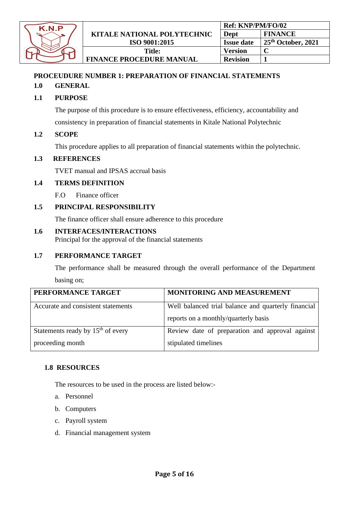| K.N.P |  |
|-------|--|
|       |  |
|       |  |
|       |  |
|       |  |

**FINANCE PROCEDURE MANUAL**

# <span id="page-4-0"></span>**PROCEUDURE NUMBER 1: PREPARATION OF FINANCIAL STATEMENTS**

### **1.0 GENERAL**

# **1.1 PURPOSE**

The purpose of this procedure is to ensure effectiveness, efficiency, accountability and

consistency in preparation of financial statements in Kitale National Polytechnic

### **1.2 SCOPE**

This procedure applies to all preparation of financial statements within the polytechnic.

### **1.3 REFERENCES**

TVET manual and IPSAS accrual basis

### **1.4 TERMS DEFINITION**

F.O Finance officer

### **1.5 PRINCIPAL RESPONSIBILITY**

The finance officer shall ensure adherence to this procedure

### **1.6 INTERFACES/INTERACTIONS**

Principal for the approval of the financial statements

### **1.7 PERFORMANCE TARGET**

The performance shall be measured through the overall performance of the Department basing on;

| PERFORMANCE TARGET                  | MONITORING AND MEASUREMENT                                                                  |
|-------------------------------------|---------------------------------------------------------------------------------------------|
| Accurate and consistent statements  | Well balanced trial balance and quarterly financial<br>reports on a monthly/quarterly basis |
| Statements ready by $15th$ of every | Review date of preparation and approval against                                             |
| proceeding month                    | stipulated timelines                                                                        |

### **1.8 RESOURCES**

The resources to be used in the process are listed below:-

- a. Personnel
- b. Computers
- c. Payroll system
- d. Financial management system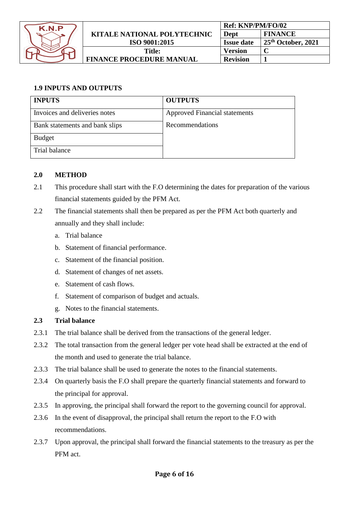

# **1.9 INPUTS AND OUTPUTS**

| <b>INPUTS</b>                  | <b>OUTPUTS</b>                       |
|--------------------------------|--------------------------------------|
| Invoices and deliveries notes  | <b>Approved Financial statements</b> |
| Bank statements and bank slips | Recommendations                      |
| <b>Budget</b>                  |                                      |
| Trial balance                  |                                      |

# **2.0 METHOD**

- 2.1 This procedure shall start with the F.O determining the dates for preparation of the various financial statements guided by the PFM Act.
- 2.2 The financial statements shall then be prepared as per the PFM Act both quarterly and annually and they shall include:
	- a. Trial balance
	- b. Statement of financial performance.
	- c. Statement of the financial position.
	- d. Statement of changes of net assets.
	- e. Statement of cash flows.
	- f. Statement of comparison of budget and actuals.
	- g. Notes to the financial statements.

### **2.3 Trial balance**

- 2.3.1 The trial balance shall be derived from the transactions of the general ledger.
- 2.3.2 The total transaction from the general ledger per vote head shall be extracted at the end of the month and used to generate the trial balance.
- 2.3.3 The trial balance shall be used to generate the notes to the financial statements.
- 2.3.4 On quarterly basis the F.O shall prepare the quarterly financial statements and forward to the principal for approval.
- 2.3.5 In approving, the principal shall forward the report to the governing council for approval.
- 2.3.6 In the event of disapproval, the principal shall return the report to the F.O with recommendations.
- 2.3.7 Upon approval, the principal shall forward the financial statements to the treasury as per the PFM act.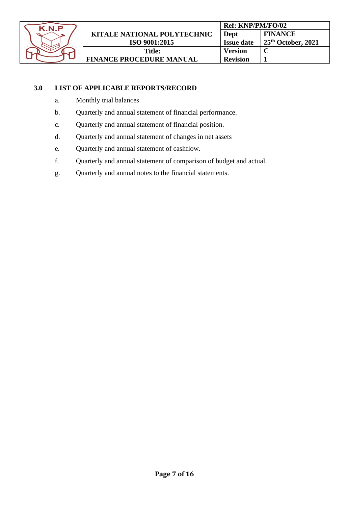

# **3.0 LIST OF APPLICABLE REPORTS/RECORD**

- a. Monthly trial balances
- b. Quarterly and annual statement of financial performance.
- c. Quarterly and annual statement of financial position.
- d. Quarterly and annual statement of changes in net assets
- e. Quarterly and annual statement of cashflow.
- f. Quarterly and annual statement of comparison of budget and actual.
- <span id="page-6-0"></span>g. Quarterly and annual notes to the financial statements.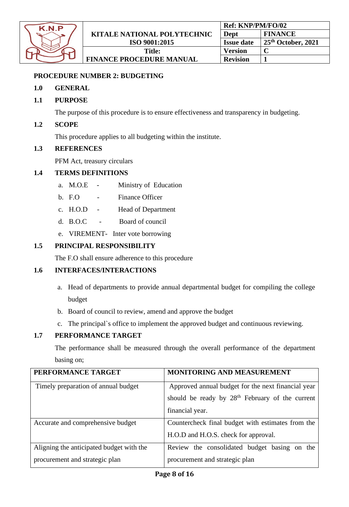| K.N.P |  |
|-------|--|
|       |  |
|       |  |
|       |  |
|       |  |

# **PROCEDURE NUMBER 2: BUDGETING**

### **1.0 GENERAL**

### **1.1 PURPOSE**

The purpose of this procedure is to ensure effectiveness and transparency in budgeting.

### **1.2 SCOPE**

This procedure applies to all budgeting within the institute.

### **1.3 REFERENCES**

PFM Act, treasury circulars

### **1.4 TERMS DEFINITIONS**

- a. M.O.E Ministry of Education
- b. F.O Finance Officer
- c. H.O.D Head of Department
- d. B.O.C Board of council
- e. VIREMENT- Inter vote borrowing

### **1.5 PRINCIPAL RESPONSIBILITY**

The F.O shall ensure adherence to this procedure

### **1.6 INTERFACES/INTERACTIONS**

- a. Head of departments to provide annual departmental budget for compiling the college budget
- b. Board of council to review, amend and approve the budget
- c. The principal`s office to implement the approved budget and continuous reviewing.

#### **1.7 PERFORMANCE TARGET**

The performance shall be measured through the overall performance of the department basing on;

| PERFORMANCE TARGET                       | <b>MONITORING AND MEASUREMENT</b>                           |
|------------------------------------------|-------------------------------------------------------------|
| Timely preparation of annual budget      | Approved annual budget for the next financial year          |
|                                          | should be ready by 28 <sup>th</sup> February of the current |
|                                          | financial year.                                             |
| Accurate and comprehensive budget        | Countercheck final budget with estimates from the           |
|                                          | H.O.D and H.O.S. check for approval.                        |
| Aligning the anticipated budget with the | Review the consolidated budget basing on the                |
| procurement and strategic plan           | procurement and strategic plan                              |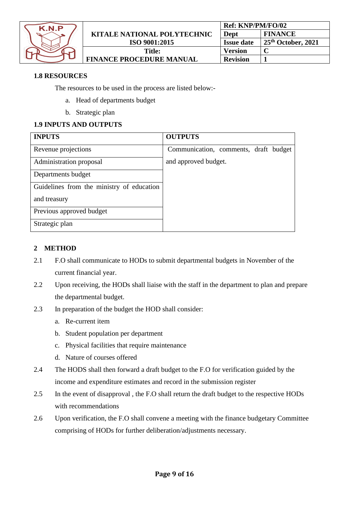

**FINANCE PROCEDURE MANUAL**

### **1.8 RESOURCES**

The resources to be used in the process are listed below:-

- a. Head of departments budget
- b. Strategic plan

# **1.9 INPUTS AND OUTPUTS**

| <b>INPUTS</b>                             | <b>OUTPUTS</b>                        |
|-------------------------------------------|---------------------------------------|
| Revenue projections                       | Communication, comments, draft budget |
| Administration proposal                   | and approved budget.                  |
| Departments budget                        |                                       |
| Guidelines from the ministry of education |                                       |
| and treasury                              |                                       |
| Previous approved budget                  |                                       |
| Strategic plan                            |                                       |

### **2 METHOD**

- 2.1 F.O shall communicate to HODs to submit departmental budgets in November of the current financial year.
- 2.2 Upon receiving, the HODs shall liaise with the staff in the department to plan and prepare the departmental budget.
- 2.3 In preparation of the budget the HOD shall consider:
	- a. Re-current item
	- b. Student population per department
	- c. Physical facilities that require maintenance
	- d. Nature of courses offered
- 2.4 The HODS shall then forward a draft budget to the F.O for verification guided by the income and expenditure estimates and record in the submission register
- 2.5 In the event of disapproval , the F.O shall return the draft budget to the respective HODs with recommendations
- 2.6 Upon verification, the F.O shall convene a meeting with the finance budgetary Committee comprising of HODs for further deliberation/adjustments necessary.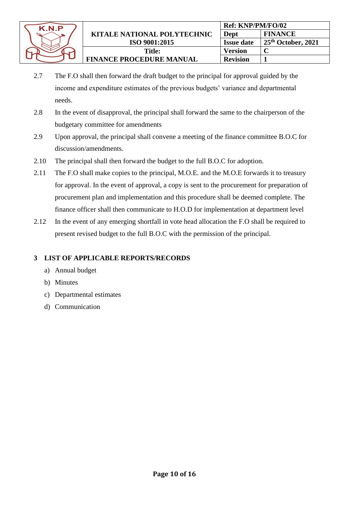

- 2.7 The F.O shall then forward the draft budget to the principal for approval guided by the income and expenditure estimates of the previous budgets' variance and departmental needs.
- 2.8 In the event of disapproval, the principal shall forward the same to the chairperson of the budgetary committee for amendments
- 2.9 Upon approval, the principal shall convene a meeting of the finance committee B.O.C for discussion/amendments.
- 2.10 The principal shall then forward the budget to the full B.O.C for adoption.
- 2.11 The F.O shall make copies to the principal, M.O.E. and the M.O.E forwards it to treasury for approval. In the event of approval, a copy is sent to the procurement for preparation of procurement plan and implementation and this procedure shall be deemed complete. The finance officer shall then communicate to H.O.D for implementation at department level
- 2.12 In the event of any emerging shortfall in vote head allocation the F.O shall be required to present revised budget to the full B.O.C with the permission of the principal.

# **3 LIST OF APPLICABLE REPORTS/RECORDS**

- a) Annual budget
- b) Minutes
- c) Departmental estimates
- d) Communication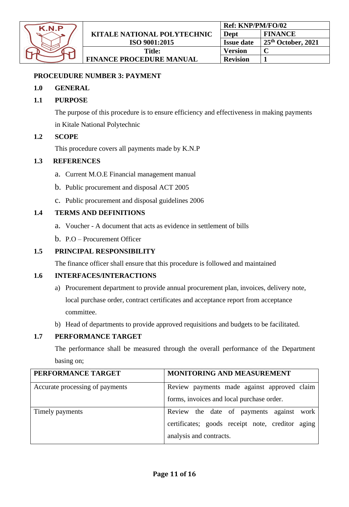| K.N.P |  |
|-------|--|
|       |  |
|       |  |
|       |  |
|       |  |

### <span id="page-10-0"></span>**PROCEUDURE NUMBER 3: PAYMENT**

### **1.0 GENERAL**

# **1.1 PURPOSE**

The purpose of this procedure is to ensure efficiency and effectiveness in making payments in Kitale National Polytechnic

### **1.2 SCOPE**

This procedure covers all payments made by K.N.P

### **1.3 REFERENCES**

- a. Current M.O.E Financial management manual
- b. Public procurement and disposal ACT 2005
- c. Public procurement and disposal guidelines 2006

# **1.4 TERMS AND DEFINITIONS**

- a. Voucher A document that acts as evidence in settlement of bills
- b. P.O Procurement Officer

# **1.5 PRINCIPAL RESPONSIBILITY**

The finance officer shall ensure that this procedure is followed and maintained

### **1.6 INTERFACES/INTERACTIONS**

- a) Procurement department to provide annual procurement plan, invoices, delivery note, local purchase order, contract certificates and acceptance report from acceptance committee.
- b) Head of departments to provide approved requisitions and budgets to be facilitated.

# **1.7 PERFORMANCE TARGET**

The performance shall be measured through the overall performance of the Department basing on;

| PERFORMANCE TARGET              | MONITORING AND MEASUREMENT                                                                                              |
|---------------------------------|-------------------------------------------------------------------------------------------------------------------------|
| Accurate processing of payments | Review payments made against approved claim<br>forms, invoices and local purchase order.                                |
| Timely payments                 | Review the date of payments against work<br>certificates; goods receipt note, creditor aging<br>analysis and contracts. |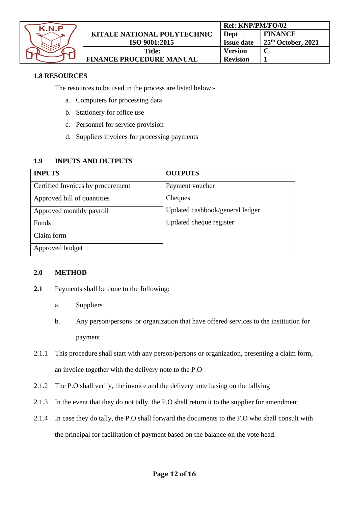| K.N.P |  |
|-------|--|
|       |  |
|       |  |
|       |  |
|       |  |

### **1.8 RESOURCES**

The resources to be used in the process are listed below:-

- a. Computers for processing data
- b. Stationery for office use
- c. Personnel for service provision
- d. Suppliers invoices for processing payments

### **1.9 INPUTS AND OUTPUTS**

| <b>INPUTS</b>                     | <b>OUTPUTS</b>                  |
|-----------------------------------|---------------------------------|
| Certified Invoices by procurement | Payment voucher                 |
| Approved bill of quantities       | Cheques                         |
| Approved monthly payroll          | Updated cashbook/general ledger |
| Funds                             | Updated cheque register         |
| Claim form                        |                                 |
| Approved budget                   |                                 |

#### **2.0 METHOD**

- **2.1** Payments shall be done to the following:
	- a. Suppliers
	- b. Any person/persons or organization that have offered services to the institution for payment
- 2.1.1 This procedure shall start with any person/persons or organization, presenting a claim form, an invoice together with the delivery note to the P.O
- 2.1.2 The P.O shall verify, the invoice and the delivery note basing on the tallying
- 2.1.3 In the event that they do not tally, the P.O shall return it to the supplier for amendment.
- 2.1.4 In case they do tally, the P.O shall forward the documents to the F.O who shall consult with the principal for facilitation of payment based on the balance on the vote head.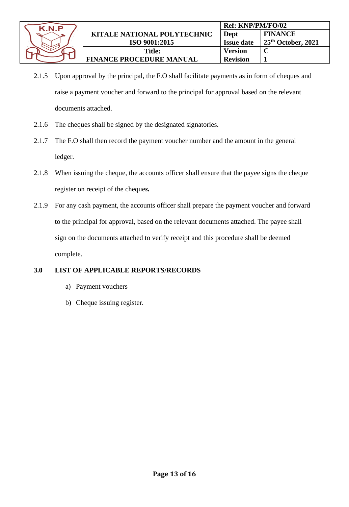

- 2.1.5 Upon approval by the principal, the F.O shall facilitate payments as in form of cheques and raise a payment voucher and forward to the principal for approval based on the relevant documents attached.
- 2.1.6 The cheques shall be signed by the designated signatories.
- 2.1.7 The F.O shall then record the payment voucher number and the amount in the general ledger.
- 2.1.8 When issuing the cheque, the accounts officer shall ensure that the payee signs the cheque register on receipt of the cheque*s.*
- 2.1.9 For any cash payment, the accounts officer shall prepare the payment voucher and forward to the principal for approval, based on the relevant documents attached. The payee shall sign on the documents attached to verify receipt and this procedure shall be deemed complete.

# **3.0 LIST OF APPLICABLE REPORTS/RECORDS**

- a) Payment vouchers
- b) Cheque issuing register.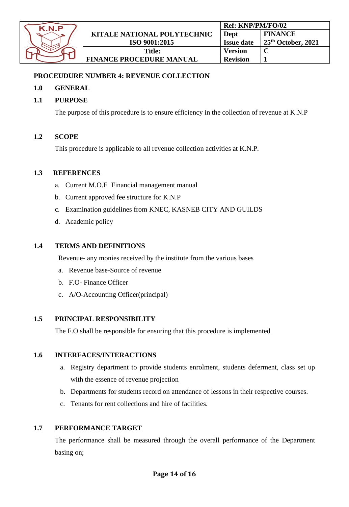| K.N.P |  |
|-------|--|
|       |  |
|       |  |
|       |  |
|       |  |

### <span id="page-13-0"></span>**PROCEUDURE NUMBER 4: REVENUE COLLECTION**

### **1.0 GENERAL**

### **1.1 PURPOSE**

The purpose of this procedure is to ensure efficiency in the collection of revenue at K.N.P

#### **1.2 SCOPE**

This procedure is applicable to all revenue collection activities at K.N.P.

#### **1.3 REFERENCES**

- a. Current M.O.E Financial management manual
- b. Current approved fee structure for K.N.P
- c. Examination guidelines from KNEC, KASNEB CITY AND GUILDS
- d. Academic policy

### **1.4 TERMS AND DEFINITIONS**

Revenue- any monies received by the institute from the various bases

- a. Revenue base-Source of revenue
- b. F.O- Finance Officer
- c. A/O-Accounting Officer(principal)

### **1.5 PRINCIPAL RESPONSIBILITY**

The F.O shall be responsible for ensuring that this procedure is implemented

#### **1.6 INTERFACES/INTERACTIONS**

- a. Registry department to provide students enrolment, students deferment, class set up with the essence of revenue projection
- b. Departments for students record on attendance of lessons in their respective courses.
- c. Tenants for rent collections and hire of facilities.

### **1.7 PERFORMANCE TARGET**

The performance shall be measured through the overall performance of the Department basing on;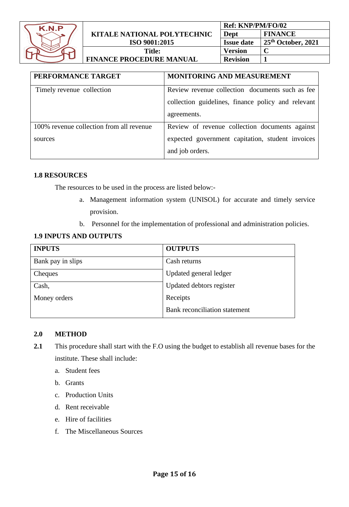

| PERFORMANCE TARGET                       | <b>MONITORING AND MEASUREMENT</b>                  |
|------------------------------------------|----------------------------------------------------|
| Timely revenue collection                | Review revenue collection documents such as fee    |
|                                          | collection guidelines, finance policy and relevant |
|                                          | agreements.                                        |
| 100% revenue collection from all revenue | Review of revenue collection documents against     |
| sources                                  | expected government capitation, student invoices   |
|                                          | and job orders.                                    |

### **1.8 RESOURCES**

The resources to be used in the process are listed below:-

- a. Management information system (UNISOL) for accurate and timely service provision.
- b. Personnel for the implementation of professional and administration policies.

### **1.9 INPUTS AND OUTPUTS**

| <b>INPUTS</b>     | <b>OUTPUTS</b>                |
|-------------------|-------------------------------|
| Bank pay in slips | Cash returns                  |
| Cheques           | Updated general ledger        |
| Cash,             | Updated debtors register      |
| Money orders      | Receipts                      |
|                   | Bank reconciliation statement |

#### **2.0 METHOD**

- **2.1** This procedure shall start with the F.O using the budget to establish all revenue bases for the institute. These shall include:
	- a. Student fees
	- b. Grants
	- c. Production Units
	- d. Rent receivable
	- e. Hire of facilities
	- f. The Miscellaneous Sources